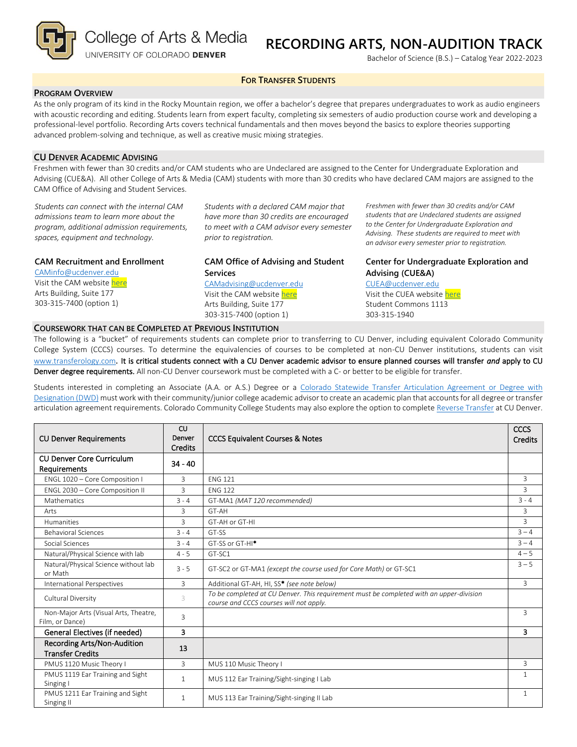College of Arts & Media

UNIVERSITY OF COLORADO DENVER

# **RECORDING ARTS, NON-AUDITION TRACK**

Bachelor of Science (B.S.) – Catalog Year 2022-2023

## **FOR TRANSFER STUDENTS**

# **PROGRAM OVERVIEW**

As the only program of its kind in the Rocky Mountain region, we offer a bachelor's degree that prepares undergraduates to work as audio engineers with acoustic recording and editing. Students learn from expert faculty, completing six semesters of audio production course work and developing a professional-level portfolio. Recording Arts covers technical fundamentals and then moves beyond the basics to explore theories supporting advanced problem-solving and technique, as well as creative music mixing strategies.

# **CU DENVER ACADEMIC ADVISING**

Freshmen with fewer than 30 credits and/or CAM students who are Undeclared are assigned to the Center for Undergraduate Exploration and Advising (CUE&A). All other College of Arts & Media (CAM) students with more than 30 credits who have declared CAM majors are assigned to the CAM Office of Advising and Student Services.

*Students can connect with the internal CAM admissions team to learn more about the program, additional admission requirements, spaces, equipment and technology.*

## **CAM Recruitment and Enrollment**

[CAMinfo@ucdenver.edu](mailto:CAMinfo@ucdenver.edu) Visit the CAM websit[e here](https://artsandmedia.ucdenver.edu/prospective-students/prospective-students) Arts Building, Suite 177 303-315-7400 (option 1)

*Students with a declared CAM major that have more than 30 credits are encouraged to meet with a CAM advisor every semester prior to registration.*

# **CAM Office of Advising and Student Services**

[CAMadvising@ucdenver.edu](mailto:CAMadvising@ucdenver.edu) Visit the CAM websit[e here](https://artsandmedia.ucdenver.edu/current-students/about-academic-advising) Arts Building, Suite 177 303-315-7400 (option 1)

*Freshmen with fewer than 30 credits and/or CAM students that are Undeclared students are assigned to the Center for Undergraduate Exploration and Advising. These students are required to meet with an advisor every semester prior to registration.*

# **Center for Undergraduate Exploration and Advising (CUE&A)**

#### [CUEA@ucdenver.edu](mailto:CUEA@ucdenver.edu)

Visit the CUEA websit[e here](https://www.ucdenver.edu/center-for-undergraduate-exploration-and-advising) Student Commons 1113 303-315-1940

## **COURSEWORK THAT CAN BE COMPLETED AT PREVIOUS INSTITUTION**

The following is a "bucket" of requirements students can complete prior to transferring to CU Denver, including equivalent Colorado Community College System (CCCS) courses. To determine the equivalencies of courses to be completed at non-CU Denver institutions, students can visit [www.transferology.com](http://www.transferology.com/)**.** It is critical students connect with a CU Denver academic advisor to ensure planned courses will transfer *and* apply to CU Denver degree requirements. All non-CU Denver coursework must be completed with a C- or better to be eligible for transfer.

Students interested in completing an Associate (A.A. or A.S.) Degree or a [Colorado Statewide Transfer Articulation Agreement or Degree with](https://highered.colorado.gov/Academics/Transfers/TransferDegrees.html)  [Designation \(DWD\)](https://highered.colorado.gov/Academics/Transfers/TransferDegrees.html) must work with their community/junior college academic advisor to create an academic plan that accounts for all degree or transfer articulation agreement requirements. Colorado Community College Students may also explore the option to complet[e Reverse Transfer](https://degreewithinreach.wordpress.com/) at CU Denver.

| <b>CU Denver Requirements</b>                            | CU<br>Denver<br><b>Credits</b> | <b>CCCS Equivalent Courses &amp; Notes</b>                                                                                         | CCCS<br><b>Credits</b> |
|----------------------------------------------------------|--------------------------------|------------------------------------------------------------------------------------------------------------------------------------|------------------------|
| <b>CU Denver Core Curriculum</b><br>Requirements         | $34 - 40$                      |                                                                                                                                    |                        |
| ENGL 1020 - Core Composition I                           | 3                              | <b>ENG 121</b>                                                                                                                     | 3                      |
| ENGL 2030 - Core Composition II                          | 3                              | <b>ENG 122</b>                                                                                                                     | $\overline{3}$         |
| Mathematics                                              | $3 - 4$                        | GT-MA1 (MAT 120 recommended)                                                                                                       | $3 - 4$                |
| Arts                                                     | 3                              | GT-AH                                                                                                                              | 3                      |
| Humanities                                               | 3                              | GT-AH or GT-HI                                                                                                                     | $\overline{3}$         |
| <b>Behavioral Sciences</b>                               | $3 - 4$                        | GT-SS                                                                                                                              | $3 - 4$                |
| Social Sciences                                          | $3 - 4$                        | GT-SS or GT-HI <sup>*</sup>                                                                                                        | $3 - 4$                |
| Natural/Physical Science with lab                        | $4 - 5$                        | GT-SC1                                                                                                                             | $4 - 5$                |
| Natural/Physical Science without lab<br>or Math          | $3 - 5$                        | GT-SC2 or GT-MA1 (except the course used for Core Math) or GT-SC1                                                                  | $3 - 5$                |
| International Perspectives                               | 3                              | Additional GT-AH, HI, SS* (see note below)                                                                                         | 3                      |
| Cultural Diversity                                       | 3                              | To be completed at CU Denver. This requirement must be completed with an upper-division<br>course and CCCS courses will not apply. |                        |
| Non-Major Arts (Visual Arts, Theatre,<br>Film, or Dance) | 3                              |                                                                                                                                    | 3                      |
| General Electives (if needed)                            | $\overline{\mathbf{3}}$        |                                                                                                                                    | 3                      |
| Recording Arts/Non-Audition<br><b>Transfer Credits</b>   | 13                             |                                                                                                                                    |                        |
| PMUS 1120 Music Theory I                                 | 3                              | MUS 110 Music Theory I                                                                                                             | 3                      |
| PMUS 1119 Ear Training and Sight<br>Singing I            | $\mathbf{1}$                   | MUS 112 Ear Training/Sight-singing I Lab                                                                                           | $\mathbf{1}$           |
| PMUS 1211 Ear Training and Sight<br>Singing II           | $\mathbf{1}$                   | MUS 113 Ear Training/Sight-singing II Lab                                                                                          | $\mathbf{1}$           |